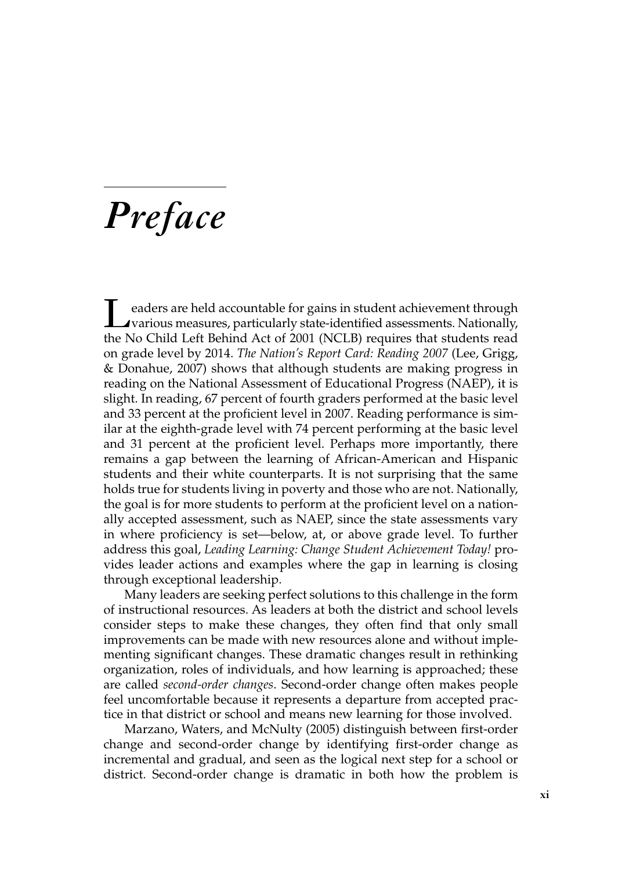# *Preface*

Leaders are held accountable for gains in student achievement through<br>various measures, particularly state-identified assessments. Nationally,<br>the Ne Child Left Behind Act of 2001 (NGLB) measures that students and the No Child Left Behind Act of 2001 (NCLB) requires that students read on grade level by 2014. *The Nation's Report Card: Reading 2007* (Lee, Grigg, & Donahue, 2007) shows that although students are making progress in reading on the National Assessment of Educational Progress (NAEP), it is slight. In reading, 67 percent of fourth graders performed at the basic level and 33 percent at the proficient level in 2007. Reading performance is similar at the eighth-grade level with 74 percent performing at the basic level and 31 percent at the proficient level. Perhaps more importantly, there remains a gap between the learning of African-American and Hispanic students and their white counterparts. It is not surprising that the same holds true for students living in poverty and those who are not. Nationally, the goal is for more students to perform at the proficient level on a nationally accepted assessment, such as NAEP, since the state assessments vary in where proficiency is set—below, at, or above grade level. To further address this goal, *Leading Learning: Change Student Achievement Today!* provides leader actions and examples where the gap in learning is closing through exceptional leadership.

Many leaders are seeking perfect solutions to this challenge in the form of instructional resources. As leaders at both the district and school levels consider steps to make these changes, they often find that only small improvements can be made with new resources alone and without implementing significant changes. These dramatic changes result in rethinking organization, roles of individuals, and how learning is approached; these are called *second-order changes*. Second-order change often makes people feel uncomfortable because it represents a departure from accepted practice in that district or school and means new learning for those involved.

Marzano, Waters, and McNulty (2005) distinguish between first-order change and second-order change by identifying first-order change as incremental and gradual, and seen as the logical next step for a school or district. Second-order change is dramatic in both how the problem is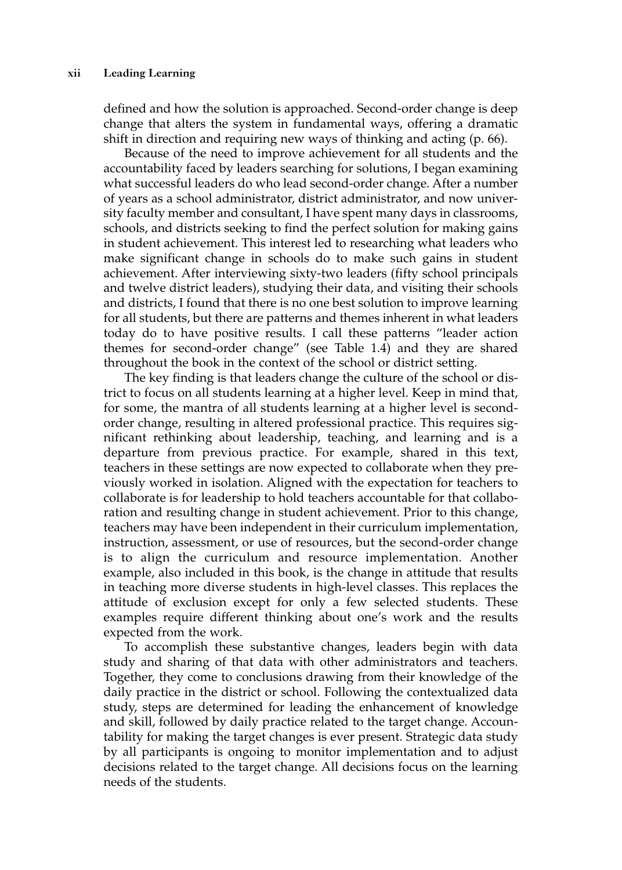defined and how the solution is approached. Second-order change is deep change that alters the system in fundamental ways, offering a dramatic shift in direction and requiring new ways of thinking and acting (p. 66).

Because of the need to improve achievement for all students and the accountability faced by leaders searching for solutions, I began examining what successful leaders do who lead second-order change. After a number of years as a school administrator, district administrator, and now university faculty member and consultant, I have spent many days in classrooms, schools, and districts seeking to find the perfect solution for making gains in student achievement. This interest led to researching what leaders who make significant change in schools do to make such gains in student achievement. After interviewing sixty-two leaders (fifty school principals and twelve district leaders), studying their data, and visiting their schools and districts, I found that there is no one best solution to improve learning for all students, but there are patterns and themes inherent in what leaders today do to have positive results. I call these patterns "leader action themes for second-order change" (see Table 1.4) and they are shared throughout the book in the context of the school or district setting.

The key finding is that leaders change the culture of the school or district to focus on all students learning at a higher level. Keep in mind that, for some, the mantra of all students learning at a higher level is secondorder change, resulting in altered professional practice. This requires significant rethinking about leadership, teaching, and learning and is a departure from previous practice. For example, shared in this text, teachers in these settings are now expected to collaborate when they previously worked in isolation. Aligned with the expectation for teachers to collaborate is for leadership to hold teachers accountable for that collaboration and resulting change in student achievement. Prior to this change, teachers may have been independent in their curriculum implementation, instruction, assessment, or use of resources, but the second-order change is to align the curriculum and resource implementation. Another example, also included in this book, is the change in attitude that results in teaching more diverse students in high-level classes. This replaces the attitude of exclusion except for only a few selected students. These examples require different thinking about one's work and the results expected from the work.

To accomplish these substantive changes, leaders begin with data study and sharing of that data with other administrators and teachers. Together, they come to conclusions drawing from their knowledge of the daily practice in the district or school. Following the contextualized data study, steps are determined for leading the enhancement of knowledge and skill, followed by daily practice related to the target change. Accountability for making the target changes is ever present. Strategic data study by all participants is ongoing to monitor implementation and to adjust decisions related to the target change. All decisions focus on the learning needs of the students.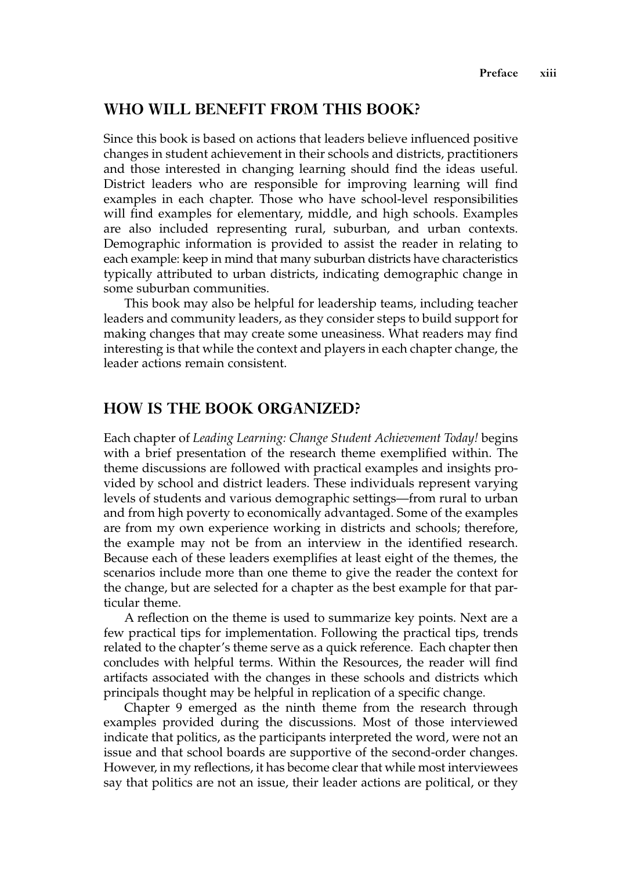## **WHO WILL BENEFIT FROM THIS BOOK?**

Since this book is based on actions that leaders believe influenced positive changes in student achievement in their schools and districts, practitioners and those interested in changing learning should find the ideas useful. District leaders who are responsible for improving learning will find examples in each chapter. Those who have school-level responsibilities will find examples for elementary, middle, and high schools. Examples are also included representing rural, suburban, and urban contexts. Demographic information is provided to assist the reader in relating to each example: keep in mind that many suburban districts have characteristics typically attributed to urban districts, indicating demographic change in some suburban communities.

This book may also be helpful for leadership teams, including teacher leaders and community leaders, as they consider steps to build support for making changes that may create some uneasiness. What readers may find interesting is that while the context and players in each chapter change, the leader actions remain consistent.

#### **HOW IS THE BOOK ORGANIZED?**

Each chapter of *Leading Learning: Change Student Achievement Today!* begins with a brief presentation of the research theme exemplified within. The theme discussions are followed with practical examples and insights provided by school and district leaders. These individuals represent varying levels of students and various demographic settings—from rural to urban and from high poverty to economically advantaged. Some of the examples are from my own experience working in districts and schools; therefore, the example may not be from an interview in the identified research. Because each of these leaders exemplifies at least eight of the themes, the scenarios include more than one theme to give the reader the context for the change, but are selected for a chapter as the best example for that particular theme.

A reflection on the theme is used to summarize key points. Next are a few practical tips for implementation. Following the practical tips, trends related to the chapter's theme serve as a quick reference. Each chapter then concludes with helpful terms. Within the Resources, the reader will find artifacts associated with the changes in these schools and districts which principals thought may be helpful in replication of a specific change.

Chapter 9 emerged as the ninth theme from the research through examples provided during the discussions. Most of those interviewed indicate that politics, as the participants interpreted the word, were not an issue and that school boards are supportive of the second-order changes. However, in my reflections, it has become clear that while most interviewees say that politics are not an issue, their leader actions are political, or they